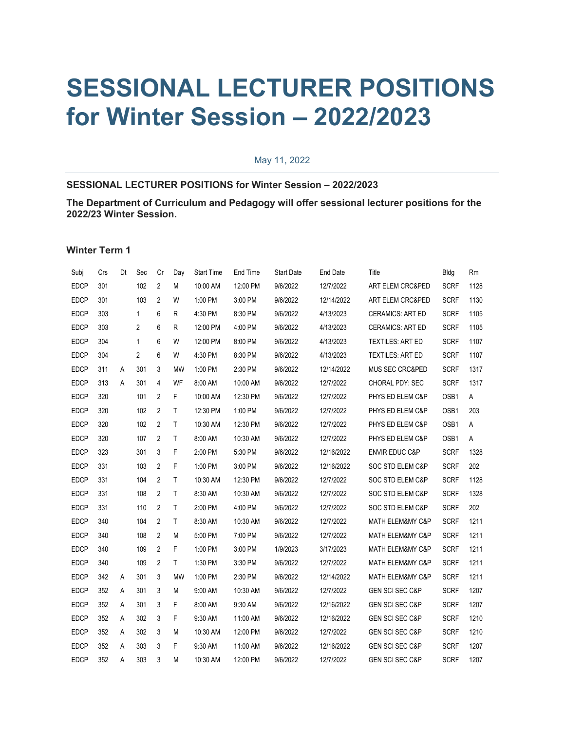## **SESSIONAL LECTURER POSITIONS for Winter Session – 2022/2023**

## May 11, 2022

## **SESSIONAL LECTURER POSITIONS for Winter Session – 2022/2023**

**The Department of Curriculum and Pedagogy will offer sessional lecturer positions for the 2022/23 Winter Session.**

**Winter Term 1**

| Subj        | Crs | Dt | Sec            | Cr             | Day          | <b>Start Time</b> | End Time | <b>Start Date</b> | <b>End Date</b> | Title                      | Bldg        | Rm   |
|-------------|-----|----|----------------|----------------|--------------|-------------------|----------|-------------------|-----------------|----------------------------|-------------|------|
| <b>EDCP</b> | 301 |    | 102            | 2              | M            | 10:00 AM          | 12:00 PM | 9/6/2022          | 12/7/2022       | ART ELEM CRC&PED           | <b>SCRF</b> | 1128 |
| <b>EDCP</b> | 301 |    | 103            | $\overline{2}$ | W            | 1:00 PM           | 3:00 PM  | 9/6/2022          | 12/14/2022      | ART ELEM CRC&PED           | <b>SCRF</b> | 1130 |
| <b>EDCP</b> | 303 |    | $\mathbf{1}$   | 6              | R            | 4:30 PM           | 8:30 PM  | 9/6/2022          | 4/13/2023       | <b>CERAMICS: ART ED</b>    | <b>SCRF</b> | 1105 |
| <b>EDCP</b> | 303 |    | 2              | 6              | R            | 12:00 PM          | 4:00 PM  | 9/6/2022          | 4/13/2023       | <b>CERAMICS: ART ED</b>    | <b>SCRF</b> | 1105 |
| <b>EDCP</b> | 304 |    | $\mathbf{1}$   | 6              | W            | 12:00 PM          | 8:00 PM  | 9/6/2022          | 4/13/2023       | <b>TEXTILES: ART ED</b>    | <b>SCRF</b> | 1107 |
| <b>EDCP</b> | 304 |    | $\overline{2}$ | 6              | W            | 4:30 PM           | 8:30 PM  | 9/6/2022          | 4/13/2023       | <b>TEXTILES: ART ED</b>    | <b>SCRF</b> | 1107 |
| <b>EDCP</b> | 311 | Α  | 301            | 3              | <b>MW</b>    | 1:00 PM           | 2:30 PM  | 9/6/2022          | 12/14/2022      | MUS SEC CRC&PED            | <b>SCRF</b> | 1317 |
| <b>EDCP</b> | 313 | A  | 301            | $\overline{4}$ | WF           | 8:00 AM           | 10:00 AM | 9/6/2022          | 12/7/2022       | CHORAL PDY: SEC            | <b>SCRF</b> | 1317 |
| <b>EDCP</b> | 320 |    | 101            | $\overline{2}$ | F            | 10:00 AM          | 12:30 PM | 9/6/2022          | 12/7/2022       | PHYS ED ELEM C&P           | OSB1        | Α    |
| <b>EDCP</b> | 320 |    | 102            | 2              | T.           | 12:30 PM          | 1:00 PM  | 9/6/2022          | 12/7/2022       | PHYS ED ELEM C&P           | OSB1        | 203  |
| <b>EDCP</b> | 320 |    | 102            | $\overline{2}$ | T.           | 10:30 AM          | 12:30 PM | 9/6/2022          | 12/7/2022       | PHYS ED ELEM C&P           | OSB1        | A    |
| <b>EDCP</b> | 320 |    | 107            | $\overline{2}$ | T.           | 8:00 AM           | 10:30 AM | 9/6/2022          | 12/7/2022       | PHYS ED ELEM C&P           | OSB1        | A    |
| <b>EDCP</b> | 323 |    | 301            | 3              | F            | 2:00 PM           | 5:30 PM  | 9/6/2022          | 12/16/2022      | <b>ENVIR EDUC C&amp;P</b>  | <b>SCRF</b> | 1328 |
| <b>EDCP</b> | 331 |    | 103            | $\overline{2}$ | F            | 1:00 PM           | 3:00 PM  | 9/6/2022          | 12/16/2022      | SOC STD ELEM C&P           | <b>SCRF</b> | 202  |
| <b>EDCP</b> | 331 |    | 104            | $\overline{2}$ | T.           | 10:30 AM          | 12:30 PM | 9/6/2022          | 12/7/2022       | SOC STD ELEM C&P           | <b>SCRF</b> | 1128 |
| <b>EDCP</b> | 331 |    | 108            | $\overline{2}$ | T.           | 8:30 AM           | 10:30 AM | 9/6/2022          | 12/7/2022       | SOC STD ELEM C&P           | <b>SCRF</b> | 1328 |
| <b>EDCP</b> | 331 |    | 110            | $\overline{2}$ | $\mathsf{T}$ | 2:00 PM           | 4:00 PM  | 9/6/2022          | 12/7/2022       | SOC STD ELEM C&P           | <b>SCRF</b> | 202  |
| <b>EDCP</b> | 340 |    | 104            | $\overline{2}$ | T.           | 8:30 AM           | 10:30 AM | 9/6/2022          | 12/7/2022       | MATH ELEM&MY C&P           | <b>SCRF</b> | 1211 |
| <b>EDCP</b> | 340 |    | 108            | 2              | M            | 5:00 PM           | 7:00 PM  | 9/6/2022          | 12/7/2022       | MATH ELEM&MY C&P           | <b>SCRF</b> | 1211 |
| <b>EDCP</b> | 340 |    | 109            | $\overline{2}$ | F            | 1:00 PM           | 3:00 PM  | 1/9/2023          | 3/17/2023       | MATH ELEM&MY C&P           | <b>SCRF</b> | 1211 |
| <b>EDCP</b> | 340 |    | 109            | $\overline{2}$ | T.           | 1:30 PM           | 3:30 PM  | 9/6/2022          | 12/7/2022       | MATH ELEM&MY C&P           | <b>SCRF</b> | 1211 |
| <b>EDCP</b> | 342 | Α  | 301            | 3              | <b>MW</b>    | 1:00 PM           | 2:30 PM  | 9/6/2022          | 12/14/2022      | MATH ELEM&MY C&P           | <b>SCRF</b> | 1211 |
| <b>EDCP</b> | 352 | Α  | 301            | 3              | М            | 9:00 AM           | 10:30 AM | 9/6/2022          | 12/7/2022       | <b>GEN SCI SEC C&amp;P</b> | <b>SCRF</b> | 1207 |
| <b>EDCP</b> | 352 | Α  | 301            | 3              | F            | 8:00 AM           | 9:30 AM  | 9/6/2022          | 12/16/2022      | <b>GEN SCI SEC C&amp;P</b> | <b>SCRF</b> | 1207 |
| <b>EDCP</b> | 352 | Α  | 302            | 3              | F.           | 9:30 AM           | 11:00 AM | 9/6/2022          | 12/16/2022      | <b>GEN SCI SEC C&amp;P</b> | <b>SCRF</b> | 1210 |
| <b>EDCP</b> | 352 | A  | 302            | 3              | M            | 10:30 AM          | 12:00 PM | 9/6/2022          | 12/7/2022       | <b>GEN SCI SEC C&amp;P</b> | <b>SCRF</b> | 1210 |
| <b>EDCP</b> | 352 | A  | 303            | 3              | F            | 9:30 AM           | 11:00 AM | 9/6/2022          | 12/16/2022      | <b>GEN SCI SEC C&amp;P</b> | <b>SCRF</b> | 1207 |
| <b>EDCP</b> | 352 | A  | 303            | 3              | M            | 10:30 AM          | 12:00 PM | 9/6/2022          | 12/7/2022       | GEN SCI SEC C&P            | <b>SCRF</b> | 1207 |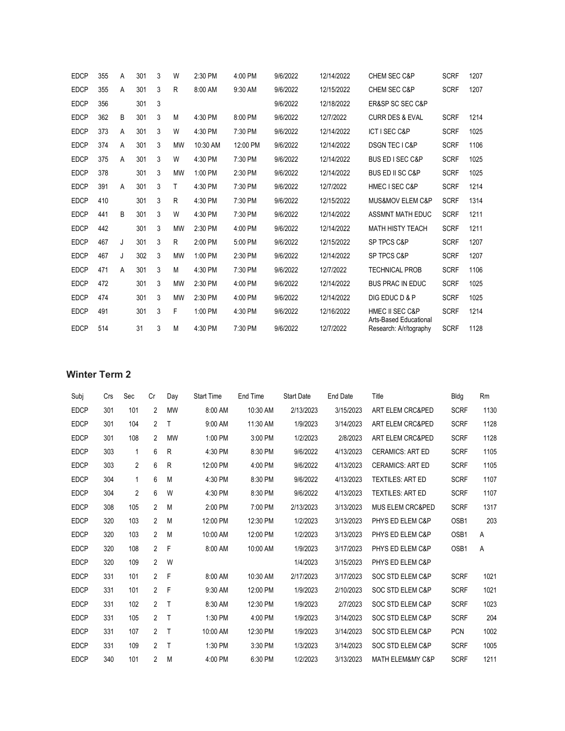| <b>EDCP</b> | 355 | A | 301 | 3 | W         | 2:30 PM  | 4:00 PM  | 9/6/2022 | 12/14/2022 | <b>CHEM SEC C&amp;P</b>                                     | <b>SCRF</b> | 1207 |
|-------------|-----|---|-----|---|-----------|----------|----------|----------|------------|-------------------------------------------------------------|-------------|------|
| <b>EDCP</b> | 355 | A | 301 | 3 | R         | 8:00 AM  | 9:30 AM  | 9/6/2022 | 12/15/2022 | <b>CHEM SEC C&amp;P</b>                                     | <b>SCRF</b> | 1207 |
| <b>EDCP</b> | 356 |   | 301 | 3 |           |          |          | 9/6/2022 | 12/18/2022 | <b>ER&amp;SP SC SEC C&amp;P</b>                             |             |      |
| <b>EDCP</b> | 362 | B | 301 | 3 | M         | 4:30 PM  | 8:00 PM  | 9/6/2022 | 12/7/2022  | <b>CURR DES &amp; EVAL</b>                                  | <b>SCRF</b> | 1214 |
| <b>EDCP</b> | 373 | A | 301 | 3 | W         | 4:30 PM  | 7:30 PM  | 9/6/2022 | 12/14/2022 | <b>ICT I SEC C&amp;P</b>                                    | <b>SCRF</b> | 1025 |
| <b>EDCP</b> | 374 | A | 301 | 3 | <b>MW</b> | 10:30 AM | 12:00 PM | 9/6/2022 | 12/14/2022 | DSGN TEC I C&P                                              | <b>SCRF</b> | 1106 |
| <b>EDCP</b> | 375 | A | 301 | 3 | W         | 4:30 PM  | 7:30 PM  | 9/6/2022 | 12/14/2022 | <b>BUS ED I SEC C&amp;P</b>                                 | <b>SCRF</b> | 1025 |
| <b>EDCP</b> | 378 |   | 301 | 3 | <b>MW</b> | 1:00 PM  | 2:30 PM  | 9/6/2022 | 12/14/2022 | <b>BUS ED II SC C&amp;P</b>                                 | <b>SCRF</b> | 1025 |
| <b>EDCP</b> | 391 | A | 301 | 3 | Τ         | 4:30 PM  | 7:30 PM  | 9/6/2022 | 12/7/2022  | <b>HMEC I SEC C&amp;P</b>                                   | <b>SCRF</b> | 1214 |
| <b>EDCP</b> | 410 |   | 301 | 3 | R         | 4:30 PM  | 7:30 PM  | 9/6/2022 | 12/15/2022 | <b>MUS&amp;MOV ELEM C&amp;P</b>                             | <b>SCRF</b> | 1314 |
| <b>EDCP</b> | 441 | B | 301 | 3 | W         | 4:30 PM  | 7:30 PM  | 9/6/2022 | 12/14/2022 | <b>ASSMNT MATH EDUC</b>                                     | <b>SCRF</b> | 1211 |
| <b>EDCP</b> | 442 |   | 301 | 3 | <b>MW</b> | 2:30 PM  | 4:00 PM  | 9/6/2022 | 12/14/2022 | <b>MATH HISTY TEACH</b>                                     | <b>SCRF</b> | 1211 |
| <b>EDCP</b> | 467 | J | 301 | 3 | R         | 2:00 PM  | 5:00 PM  | 9/6/2022 | 12/15/2022 | <b>SP TPCS C&amp;P</b>                                      | <b>SCRF</b> | 1207 |
| <b>EDCP</b> | 467 | J | 302 | 3 | <b>MW</b> | 1:00 PM  | 2:30 PM  | 9/6/2022 | 12/14/2022 | <b>SP TPCS C&amp;P</b>                                      | <b>SCRF</b> | 1207 |
| <b>EDCP</b> | 471 | A | 301 | 3 | M         | 4:30 PM  | 7:30 PM  | 9/6/2022 | 12/7/2022  | <b>TECHNICAL PROB</b>                                       | <b>SCRF</b> | 1106 |
| <b>EDCP</b> | 472 |   | 301 | 3 | <b>MW</b> | 2:30 PM  | 4:00 PM  | 9/6/2022 | 12/14/2022 | <b>BUS PRAC IN EDUC</b>                                     | <b>SCRF</b> | 1025 |
| <b>EDCP</b> | 474 |   | 301 | 3 | <b>MW</b> | 2:30 PM  | 4:00 PM  | 9/6/2022 | 12/14/2022 | DIG EDUC D & P                                              | <b>SCRF</b> | 1025 |
| <b>EDCP</b> | 491 |   | 301 | 3 | F         | 1:00 PM  | 4:30 PM  | 9/6/2022 | 12/16/2022 | <b>HMEC II SEC C&amp;P</b><br><b>Arts-Based Educational</b> | <b>SCRF</b> | 1214 |
| <b>EDCP</b> | 514 |   | 31  | 3 | M         | 4:30 PM  | 7:30 PM  | 9/6/2022 | 12/7/2022  | Research: A/r/tography                                      | <b>SCRF</b> | 1128 |

## **Winter Term 2**

| Subi        | Crs | Sec          | Cr             | Day          | <b>Start Time</b> | End Time | <b>Start Date</b> | <b>End Date</b> | Title                           | Bldg        | <b>Rm</b> |
|-------------|-----|--------------|----------------|--------------|-------------------|----------|-------------------|-----------------|---------------------------------|-------------|-----------|
| <b>EDCP</b> | 301 | 101          | 2              | <b>MW</b>    | 8:00 AM           | 10:30 AM | 2/13/2023         | 3/15/2023       | ART ELEM CRC&PED                | <b>SCRF</b> | 1130      |
| <b>EDCP</b> | 301 | 104          | $\overline{2}$ | Τ            | 9:00 AM           | 11:30 AM | 1/9/2023          | 3/14/2023       | <b>ART ELEM CRC&amp;PED</b>     | <b>SCRF</b> | 1128      |
| <b>EDCP</b> | 301 | 108          | 2              | <b>MW</b>    | 1:00 PM           | 3:00 PM  | 1/2/2023          | 2/8/2023        | <b>ART ELEM CRC&amp;PED</b>     | <b>SCRF</b> | 1128      |
| <b>EDCP</b> | 303 | $\mathbf{1}$ | 6              | R            | 4:30 PM           | 8:30 PM  | 9/6/2022          | 4/13/2023       | <b>CERAMICS: ART ED</b>         | <b>SCRF</b> | 1105      |
| <b>EDCP</b> | 303 | 2            | 6              | R            | 12:00 PM          | 4:00 PM  | 9/6/2022          | 4/13/2023       | <b>CERAMICS: ART ED</b>         | <b>SCRF</b> | 1105      |
| <b>EDCP</b> | 304 | $\mathbf{1}$ | 6              | M            | 4:30 PM           | 8:30 PM  | 9/6/2022          | 4/13/2023       | <b>TEXTILES: ART ED</b>         | <b>SCRF</b> | 1107      |
| <b>EDCP</b> | 304 | 2            | 6              | W            | 4:30 PM           | 8:30 PM  | 9/6/2022          | 4/13/2023       | <b>TEXTILES: ART ED</b>         | <b>SCRF</b> | 1107      |
| <b>EDCP</b> | 308 | 105          | $\overline{2}$ | M            | 2:00 PM           | 7:00 PM  | 2/13/2023         | 3/13/2023       | <b>MUS ELEM CRC&amp;PED</b>     | <b>SCRF</b> | 1317      |
| <b>EDCP</b> | 320 | 103          | $\overline{2}$ | M            | 12:00 PM          | 12:30 PM | 1/2/2023          | 3/13/2023       | PHYS ED ELEM C&P                | OSB1        | 203       |
| <b>EDCP</b> | 320 | 103          | $\overline{2}$ | M            | 10:00 AM          | 12:00 PM | 1/2/2023          | 3/13/2023       | PHYS ED ELEM C&P                | OSB1        | A         |
| <b>EDCP</b> | 320 | 108          | $\overline{2}$ | F            | 8:00 AM           | 10:00 AM | 1/9/2023          | 3/17/2023       | PHYS ED ELEM C&P                | OSB1        | A         |
| <b>EDCP</b> | 320 | 109          | $\overline{2}$ | W            |                   |          | 1/4/2023          | 3/15/2023       | PHYS ED ELEM C&P                |             |           |
| <b>EDCP</b> | 331 | 101          | $\overline{2}$ | $\mathsf{F}$ | 8:00 AM           | 10:30 AM | 2/17/2023         | 3/17/2023       | <b>SOC STD ELEM C&amp;P</b>     | <b>SCRF</b> | 1021      |
| <b>EDCP</b> | 331 | 101          | $\mathfrak{p}$ | F            | 9:30 AM           | 12:00 PM | 1/9/2023          | 2/10/2023       | <b>SOC STD ELEM C&amp;P</b>     | <b>SCRF</b> | 1021      |
| <b>EDCP</b> | 331 | 102          | $\overline{2}$ | T            | 8:30 AM           | 12:30 PM | 1/9/2023          | 2/7/2023        | <b>SOC STD ELEM C&amp;P</b>     | <b>SCRF</b> | 1023      |
| <b>EDCP</b> | 331 | 105          | $\overline{2}$ | Т            | 1:30 PM           | 4:00 PM  | 1/9/2023          | 3/14/2023       | <b>SOC STD ELEM C&amp;P</b>     | <b>SCRF</b> | 204       |
| <b>EDCP</b> | 331 | 107          | 2              | T            | 10:00 AM          | 12:30 PM | 1/9/2023          | 3/14/2023       | SOC STD ELEM C&P                | <b>PCN</b>  | 1002      |
| <b>EDCP</b> | 331 | 109          | $\overline{2}$ | T            | 1:30 PM           | 3:30 PM  | 1/3/2023          | 3/14/2023       | <b>SOC STD ELEM C&amp;P</b>     | <b>SCRF</b> | 1005      |
| <b>EDCP</b> | 340 | 101          | $\overline{2}$ | M            | 4:00 PM           | 6:30 PM  | 1/2/2023          | 3/13/2023       | <b>MATH ELEM&amp;MY C&amp;P</b> | <b>SCRF</b> | 1211      |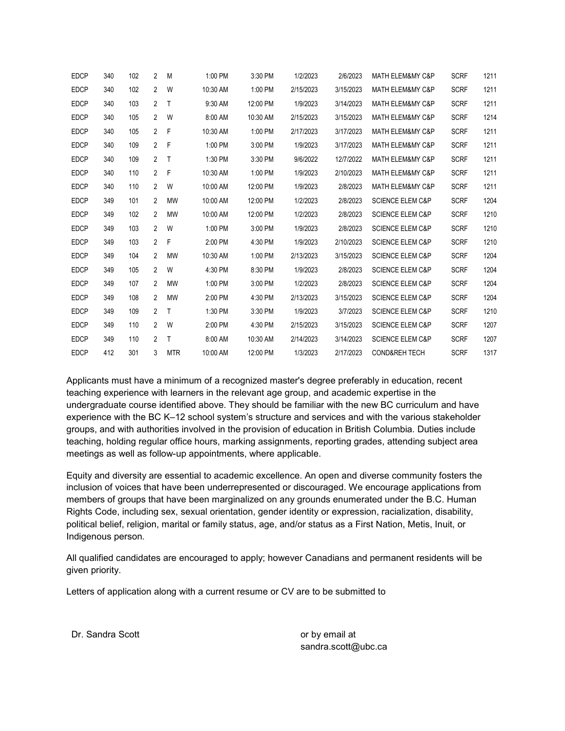| <b>EDCP</b> | 340 | 102 | 2              | M            | 1:00 PM  | 3:30 PM  | 1/2/2023  | 2/6/2023  | <b>MATH ELEM&amp;MY C&amp;P</b> | <b>SCRF</b> | 1211 |
|-------------|-----|-----|----------------|--------------|----------|----------|-----------|-----------|---------------------------------|-------------|------|
| <b>EDCP</b> | 340 | 102 | $\overline{2}$ | W            | 10:30 AM | 1:00 PM  | 2/15/2023 | 3/15/2023 | <b>MATH ELEM&amp;MY C&amp;P</b> | <b>SCRF</b> | 1211 |
| <b>EDCP</b> | 340 | 103 | $\overline{2}$ | $\mathsf{T}$ | 9:30 AM  | 12:00 PM | 1/9/2023  | 3/14/2023 | <b>MATH ELEM&amp;MY C&amp;P</b> | <b>SCRF</b> | 1211 |
| <b>EDCP</b> | 340 | 105 | $\overline{2}$ | W            | 8:00 AM  | 10:30 AM | 2/15/2023 | 3/15/2023 | <b>MATH ELEM&amp;MY C&amp;P</b> | <b>SCRF</b> | 1214 |
| <b>EDCP</b> | 340 | 105 | $\overline{2}$ | F            | 10:30 AM | 1:00 PM  | 2/17/2023 | 3/17/2023 | <b>MATH ELEM&amp;MY C&amp;P</b> | <b>SCRF</b> | 1211 |
| <b>EDCP</b> | 340 | 109 | $\mathbf{2}$   | F            | 1:00 PM  | 3:00 PM  | 1/9/2023  | 3/17/2023 | <b>MATH ELEM&amp;MY C&amp;P</b> | <b>SCRF</b> | 1211 |
| <b>EDCP</b> | 340 | 109 | $\overline{2}$ | $\mathsf{T}$ | 1:30 PM  | 3:30 PM  | 9/6/2022  | 12/7/2022 | <b>MATH ELEM&amp;MY C&amp;P</b> | <b>SCRF</b> | 1211 |
| <b>EDCP</b> | 340 | 110 | $\overline{2}$ | F            | 10:30 AM | 1:00 PM  | 1/9/2023  | 2/10/2023 | <b>MATH ELEM&amp;MY C&amp;P</b> | <b>SCRF</b> | 1211 |
| <b>EDCP</b> | 340 | 110 | $\overline{2}$ | W            | 10:00 AM | 12:00 PM | 1/9/2023  | 2/8/2023  | <b>MATH ELEM&amp;MY C&amp;P</b> | <b>SCRF</b> | 1211 |
| <b>EDCP</b> | 349 | 101 | 2              | <b>MW</b>    | 10:00 AM | 12:00 PM | 1/2/2023  | 2/8/2023  | <b>SCIENCE ELEM C&amp;P</b>     | <b>SCRF</b> | 1204 |
| <b>EDCP</b> | 349 | 102 | 2              | <b>MW</b>    | 10:00 AM | 12:00 PM | 1/2/2023  | 2/8/2023  | <b>SCIENCE ELEM C&amp;P</b>     | <b>SCRF</b> | 1210 |
| <b>EDCP</b> | 349 | 103 | $\overline{2}$ | W            | 1:00 PM  | 3:00 PM  | 1/9/2023  | 2/8/2023  | <b>SCIENCE ELEM C&amp;P</b>     | <b>SCRF</b> | 1210 |
| <b>EDCP</b> | 349 | 103 | $\overline{2}$ | F            | 2:00 PM  | 4:30 PM  | 1/9/2023  | 2/10/2023 | <b>SCIENCE ELEM C&amp;P</b>     | <b>SCRF</b> | 1210 |
| <b>EDCP</b> | 349 | 104 | 2              | <b>MW</b>    | 10:30 AM | 1:00 PM  | 2/13/2023 | 3/15/2023 | <b>SCIENCE ELEM C&amp;P</b>     | <b>SCRF</b> | 1204 |
| <b>EDCP</b> | 349 | 105 | $\overline{2}$ | W            | 4:30 PM  | 8:30 PM  | 1/9/2023  | 2/8/2023  | <b>SCIENCE ELEM C&amp;P</b>     | <b>SCRF</b> | 1204 |
| <b>EDCP</b> | 349 | 107 | $\overline{2}$ | <b>MW</b>    | 1:00 PM  | 3:00 PM  | 1/2/2023  | 2/8/2023  | <b>SCIENCE ELEM C&amp;P</b>     | <b>SCRF</b> | 1204 |
| <b>EDCP</b> | 349 | 108 | 2              | <b>MW</b>    | 2:00 PM  | 4:30 PM  | 2/13/2023 | 3/15/2023 | <b>SCIENCE ELEM C&amp;P</b>     | <b>SCRF</b> | 1204 |
| <b>EDCP</b> | 349 | 109 | $\overline{2}$ | $\mathsf{T}$ | 1:30 PM  | 3:30 PM  | 1/9/2023  | 3/7/2023  | <b>SCIENCE ELEM C&amp;P</b>     | <b>SCRF</b> | 1210 |
| <b>EDCP</b> | 349 | 110 | $\overline{2}$ | W            | 2:00 PM  | 4:30 PM  | 2/15/2023 | 3/15/2023 | <b>SCIENCE ELEM C&amp;P</b>     | <b>SCRF</b> | 1207 |
| <b>EDCP</b> | 349 | 110 | $\overline{2}$ | $\mathsf{T}$ | 8:00 AM  | 10:30 AM | 2/14/2023 | 3/14/2023 | <b>SCIENCE ELEM C&amp;P</b>     | <b>SCRF</b> | 1207 |
| <b>EDCP</b> | 412 | 301 | 3              | <b>MTR</b>   | 10:00 AM | 12:00 PM | 1/3/2023  | 2/17/2023 | <b>COND&amp;REH TECH</b>        | <b>SCRF</b> | 1317 |

Applicants must have a minimum of a recognized master's degree preferably in education, recent teaching experience with learners in the relevant age group, and academic expertise in the undergraduate course identified above. They should be familiar with the new BC curriculum and have experience with the BC K–12 school system's structure and services and with the various stakeholder groups, and with authorities involved in the provision of education in British Columbia. Duties include teaching, holding regular office hours, marking assignments, reporting grades, attending subject area meetings as well as follow-up appointments, where applicable.

Equity and diversity are essential to academic excellence. An open and diverse community fosters the inclusion of voices that have been underrepresented or discouraged. We encourage applications from members of groups that have been marginalized on any grounds enumerated under the B.C. Human Rights Code, including sex, sexual orientation, gender identity or expression, racialization, disability, political belief, religion, marital or family status, age, and/or status as a First Nation, Metis, Inuit, or Indigenous person.

All qualified candidates are encouraged to apply; however Canadians and permanent residents will be given priority.

Letters of application along with a current resume or CV are to be submitted to

Dr. Sandra Scott **Dr.** Sandra Scott **or by email at** 

sandra.scott@ubc.ca